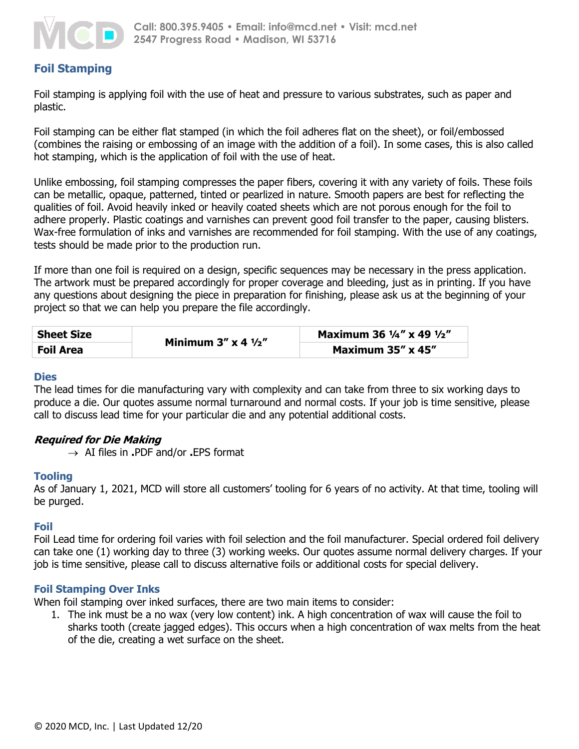

# **Foil Stamping**

Foil stamping is applying foil with the use of heat and pressure to various substrates, such as paper and plastic.

Foil stamping can be either flat stamped (in which the foil adheres flat on the sheet), or foil/embossed (combines the raising or embossing of an image with the addition of a foil). In some cases, this is also called hot stamping, which is the application of foil with the use of heat.

Unlike embossing, foil stamping compresses the paper fibers, covering it with any variety of foils. These foils can be metallic, opaque, patterned, tinted or pearlized in nature. Smooth papers are best for reflecting the qualities of foil. Avoid heavily inked or heavily coated sheets which are not porous enough for the foil to adhere properly. Plastic coatings and varnishes can prevent good foil transfer to the paper, causing blisters. Wax-free formulation of inks and varnishes are recommended for foil stamping. With the use of any coatings, tests should be made prior to the production run.

If more than one foil is required on a design, specific sequences may be necessary in the press application. The artwork must be prepared accordingly for proper coverage and bleeding, just as in printing. If you have any questions about designing the piece in preparation for finishing, please ask us at the beginning of your project so that we can help you prepare the file accordingly.

| <b>Sheet Size</b> | Minimum $3'' \times 4 \frac{1}{2}$ | Maximum 36 1/4" x 49 1/2"  |
|-------------------|------------------------------------|----------------------------|
| <b>Foil Area</b>  |                                    | Maximum $35'' \times 45''$ |

#### **Dies**

The lead times for die manufacturing vary with complexity and can take from three to six working days to produce a die. Our quotes assume normal turnaround and normal costs. If your job is time sensitive, please call to discuss lead time for your particular die and any potential additional costs.

# **Required for Die Making**

AI files in **.**PDF and/or **.**EPS format

# **Tooling**

As of January 1, 2021, MCD will store all customers' tooling for 6 years of no activity. At that time, tooling will be purged.

# **Foil**

Foil Lead time for ordering foil varies with foil selection and the foil manufacturer. Special ordered foil delivery can take one (1) working day to three (3) working weeks. Our quotes assume normal delivery charges. If your job is time sensitive, please call to discuss alternative foils or additional costs for special delivery.

# **Foil Stamping Over Inks**

When foil stamping over inked surfaces, there are two main items to consider:

1. The ink must be a no wax (very low content) ink. A high concentration of wax will cause the foil to sharks tooth (create jagged edges). This occurs when a high concentration of wax melts from the heat of the die, creating a wet surface on the sheet.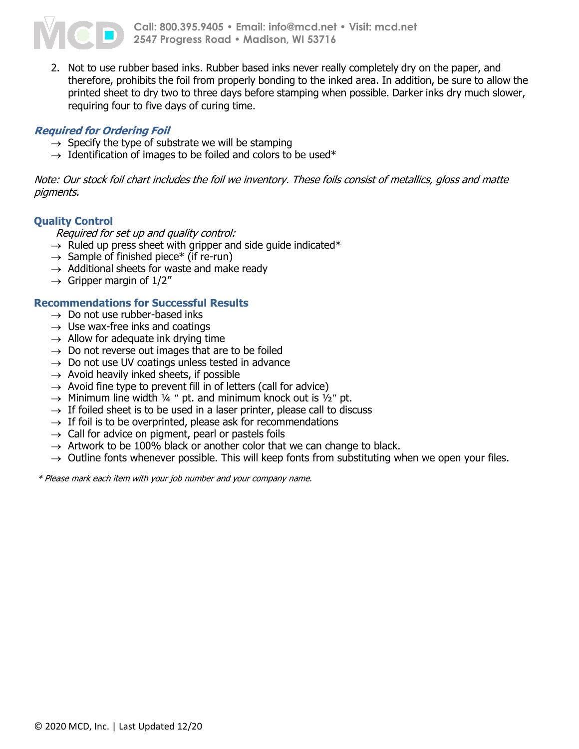

2. Not to use rubber based inks. Rubber based inks never really completely dry on the paper, and therefore, prohibits the foil from properly bonding to the inked area. In addition, be sure to allow the printed sheet to dry two to three days before stamping when possible. Darker inks dry much slower, requiring four to five days of curing time.

# **Required for Ordering Foil**

- $\rightarrow$  Specify the type of substrate we will be stamping
- $\rightarrow$  Identification of images to be foiled and colors to be used\*

Note: Our stock foil chart includes the foil we inventory. These foils consist of metallics, gloss and matte pigments.

# **Quality Control**

Required for set up and quality control:

- $\rightarrow$  Ruled up press sheet with gripper and side guide indicated\*
- $\rightarrow$  Sample of finished piece\* (if re-run)
- $\rightarrow$  Additional sheets for waste and make ready
- $\rightarrow$  Gripper margin of 1/2"

# **Recommendations for Successful Results**

- $\rightarrow$  Do not use rubber-based inks
- $\rightarrow$  Use wax-free inks and coatings
- $\rightarrow$  Allow for adequate ink drying time
- $\rightarrow$  Do not reverse out images that are to be foiled
- $\rightarrow$  Do not use UV coatings unless tested in advance
- $\rightarrow$  Avoid heavily inked sheets, if possible
- $\rightarrow$  Avoid fine type to prevent fill in of letters (call for advice)
- $\rightarrow$  Minimum line width ¼ " pt. and minimum knock out is 1/2" pt.
- $\rightarrow$  If foiled sheet is to be used in a laser printer, please call to discuss
- $\rightarrow$  If foil is to be overprinted, please ask for recommendations
- $\rightarrow$  Call for advice on pigment, pearl or pastels foils
- $\rightarrow$  Artwork to be 100% black or another color that we can change to black.
- $\rightarrow$  Outline fonts whenever possible. This will keep fonts from substituting when we open your files.

\* Please mark each item with your job number and your company name.